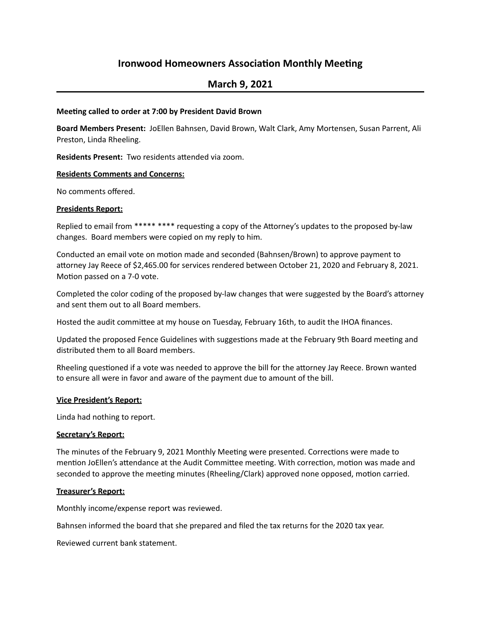# **Ironwood Homeowners Association Monthly Meeting**

## **March 9, 2021**

## **Meeting called to order at 7:00 by President David Brown**

Board Members Present: JoEllen Bahnsen, David Brown, Walt Clark, Amy Mortensen, Susan Parrent, Ali Preston, Linda Rheeling.

**Residents Present:** Two residents attended via zoom.

## **Residents Comments and Concerns:**

No comments offered.

## **Presidents Report:**

Replied to email from \*\*\*\*\* \*\*\*\* requesting a copy of the Attorney's updates to the proposed by-law changes. Board members were copied on my reply to him.

Conducted an email vote on motion made and seconded (Bahnsen/Brown) to approve payment to attorney Jay Reece of \$2,465.00 for services rendered between October 21, 2020 and February 8, 2021. Motion passed on a 7-0 vote.

Completed the color coding of the proposed by-law changes that were suggested by the Board's attorney and sent them out to all Board members.

Hosted the audit committee at my house on Tuesday, February 16th, to audit the IHOA finances.

Updated the proposed Fence Guidelines with suggestions made at the February 9th Board meeting and distributed them to all Board members.

Rheeling questioned if a vote was needed to approve the bill for the attorney Jay Reece. Brown wanted to ensure all were in favor and aware of the payment due to amount of the bill.

## **Vice President's Report:**

Linda had nothing to report.

## **Secretary's Report:**

The minutes of the February 9, 2021 Monthly Meeting were presented. Corrections were made to mention JoEllen's attendance at the Audit Committee meeting. With correction, motion was made and seconded to approve the meeting minutes (Rheeling/Clark) approved none opposed, motion carried.

## **Treasurer's Report:**

Monthly income/expense report was reviewed.

Bahnsen informed the board that she prepared and filed the tax returns for the 2020 tax year.

Reviewed current bank statement.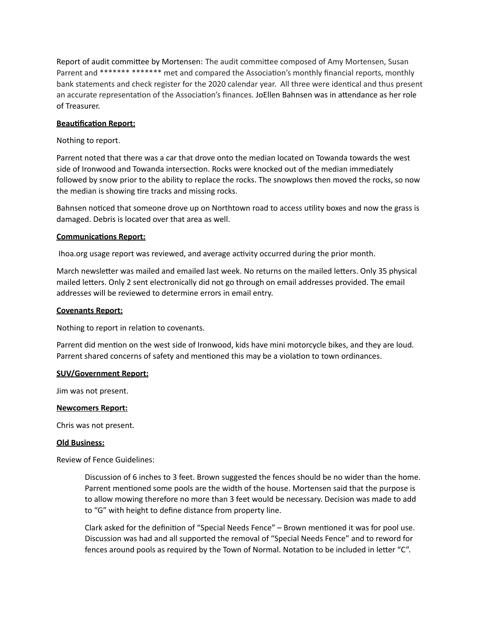Report of audit committee by Mortensen: The audit committee composed of Amy Mortensen, Susan Parrent and \*\*\*\*\*\*\* \*\*\*\*\*\*\* met and compared the Association's monthly financial reports, monthly bank statements and check register for the 2020 calendar year. All three were identical and thus present an accurate representation of the Association's finances. JoEllen Bahnsen was in attendance as her role of Treasurer.

## **Beautification Report:**

## Nothing to report.

Parrent noted that there was a car that drove onto the median located on Towanda towards the west side of Ironwood and Towanda intersection. Rocks were knocked out of the median immediately followed by snow prior to the ability to replace the rocks. The snowplows then moved the rocks, so now the median is showing tire tracks and missing rocks.

Bahnsen noticed that someone drove up on Northtown road to access utility boxes and now the grass is damaged. Debris is located over that area as well.

## **Communications Report:**

Ihoa.org usage report was reviewed, and average activity occurred during the prior month.

March newsletter was mailed and emailed last week. No returns on the mailed letters. Only 35 physical mailed letters. Only 2 sent electronically did not go through on email addresses provided. The email addresses will be reviewed to determine errors in email entry.

## **Covenants Report:**

Nothing to report in relation to covenants.

Parrent did mention on the west side of Ironwood, kids have mini motorcycle bikes, and they are loud. Parrent shared concerns of safety and mentioned this may be a violation to town ordinances.

## **SUV/Government Report:**

Jim was not present.

## **Newcomers Report:**

Chris was not present.

## **Old Business:**

Review of Fence Guidelines:

Discussion of 6 inches to 3 feet. Brown suggested the fences should be no wider than the home. Parrent mentioned some pools are the width of the house. Mortensen said that the purpose is to allow mowing therefore no more than 3 feet would be necessary. Decision was made to add to "G" with height to define distance from property line.

Clark asked for the definition of "Special Needs Fence"  $-$  Brown mentioned it was for pool use. Discussion was had and all supported the removal of "Special Needs Fence" and to reword for fences around pools as required by the Town of Normal. Notation to be included in letter " $C$ ".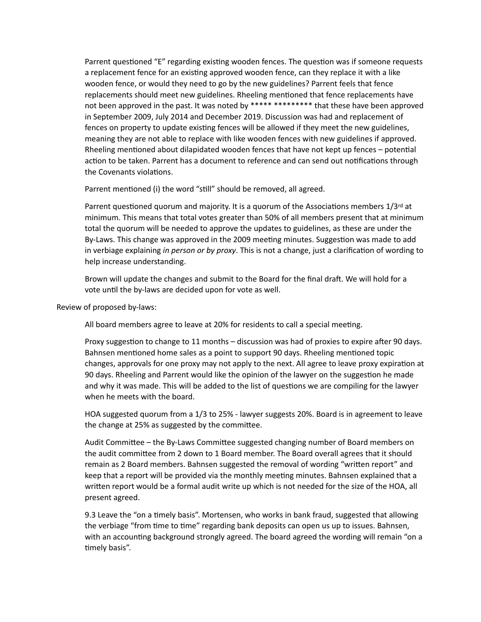Parrent questioned "E" regarding existing wooden fences. The question was if someone requests a replacement fence for an existing approved wooden fence, can they replace it with a like wooden fence, or would they need to go by the new guidelines? Parrent feels that fence replacements should meet new guidelines. Rheeling mentioned that fence replacements have not been approved in the past. It was noted by \*\*\*\*\* \*\*\*\*\*\*\*\*\* that these have been approved in September 2009, July 2014 and December 2019. Discussion was had and replacement of fences on property to update existing fences will be allowed if they meet the new guidelines, meaning they are not able to replace with like wooden fences with new guidelines if approved. Rheeling mentioned about dilapidated wooden fences that have not kept up fences - potential action to be taken. Parrent has a document to reference and can send out notifications through the Covenants violations.

Parrent mentioned (i) the word "still" should be removed, all agreed.

Parrent questioned quorum and majority. It is a quorum of the Associations members 1/3rd at minimum. This means that total votes greater than 50% of all members present that at minimum total the quorum will be needed to approve the updates to guidelines, as these are under the By-Laws. This change was approved in the 2009 meeting minutes. Suggestion was made to add in verbiage explaining in person or by proxy. This is not a change, just a clarification of wording to help increase understanding.

Brown will update the changes and submit to the Board for the final draft. We will hold for a vote until the by-laws are decided upon for vote as well.

Review of proposed by-laws:

All board members agree to leave at 20% for residents to call a special meeting.

Proxy suggestion to change to 11 months – discussion was had of proxies to expire after 90 days. Bahnsen mentioned home sales as a point to support 90 days. Rheeling mentioned topic changes, approvals for one proxy may not apply to the next. All agree to leave proxy expiration at 90 days. Rheeling and Parrent would like the opinion of the lawyer on the suggestion he made and why it was made. This will be added to the list of questions we are compiling for the lawyer when he meets with the board.

HOA suggested quorum from a 1/3 to 25% - lawyer suggests 20%. Board is in agreement to leave the change at 25% as suggested by the committee.

Audit Committee - the By-Laws Committee suggested changing number of Board members on the audit committee from 2 down to 1 Board member. The Board overall agrees that it should remain as 2 Board members. Bahnsen suggested the removal of wording "written report" and keep that a report will be provided via the monthly meeting minutes. Bahnsen explained that a written report would be a formal audit write up which is not needed for the size of the HOA, all present agreed.

9.3 Leave the "on a timely basis". Mortensen, who works in bank fraud, suggested that allowing the verbiage "from time to time" regarding bank deposits can open us up to issues. Bahnsen, with an accounting background strongly agreed. The board agreed the wording will remain "on a timely basis".